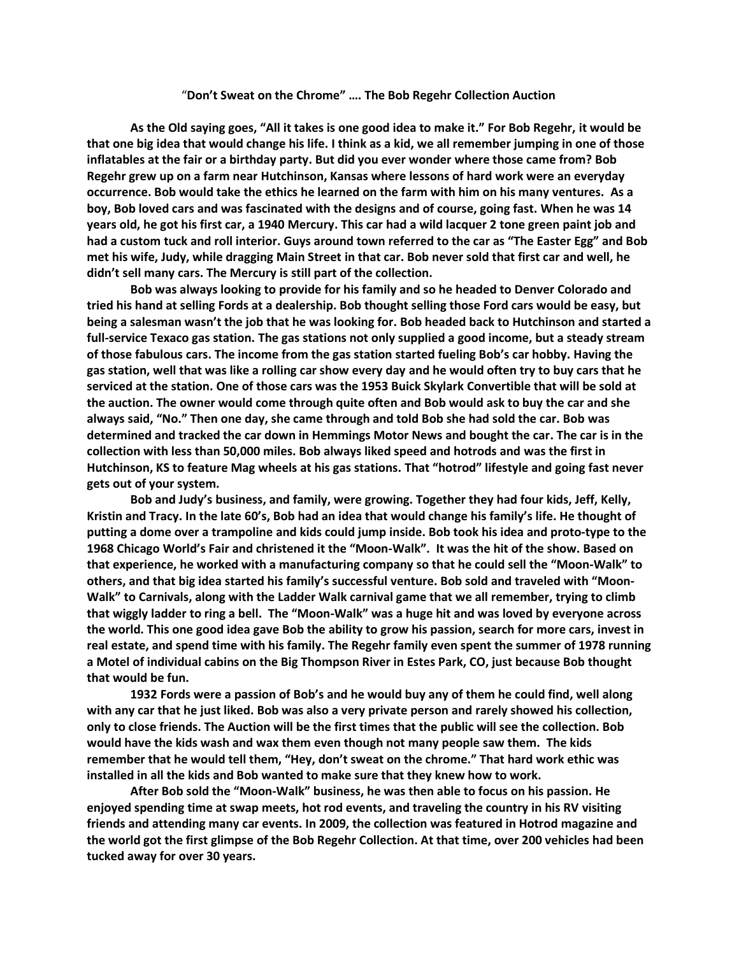## "**Don't Sweat on the Chrome" …. The Bob Regehr Collection Auction**

**As the Old saying goes, "All it takes is one good idea to make it." For Bob Regehr, it would be that one big idea that would change his life. I think as a kid, we all remember jumping in one of those inflatables at the fair or a birthday party. But did you ever wonder where those came from? Bob Regehr grew up on a farm near Hutchinson, Kansas where lessons of hard work were an everyday occurrence. Bob would take the ethics he learned on the farm with him on his many ventures. As a boy, Bob loved cars and was fascinated with the designs and of course, going fast. When he was 14 years old, he got his first car, a 1940 Mercury. This car had a wild lacquer 2 tone green paint job and had a custom tuck and roll interior. Guys around town referred to the car as "The Easter Egg" and Bob met his wife, Judy, while dragging Main Street in that car. Bob never sold that first car and well, he didn't sell many cars. The Mercury is still part of the collection.** 

**Bob was always looking to provide for his family and so he headed to Denver Colorado and tried his hand at selling Fords at a dealership. Bob thought selling those Ford cars would be easy, but being a salesman wasn't the job that he was looking for. Bob headed back to Hutchinson and started a full-service Texaco gas station. The gas stations not only supplied a good income, but a steady stream of those fabulous cars. The income from the gas station started fueling Bob's car hobby. Having the gas station, well that was like a rolling car show every day and he would often try to buy cars that he serviced at the station. One of those cars was the 1953 Buick Skylark Convertible that will be sold at the auction. The owner would come through quite often and Bob would ask to buy the car and she always said, "No." Then one day, she came through and told Bob she had sold the car. Bob was determined and tracked the car down in Hemmings Motor News and bought the car. The car is in the collection with less than 50,000 miles. Bob always liked speed and hotrods and was the first in Hutchinson, KS to feature Mag wheels at his gas stations. That "hotrod" lifestyle and going fast never gets out of your system.** 

**Bob and Judy's business, and family, were growing. Together they had four kids, Jeff, Kelly, Kristin and Tracy. In the late 60's, Bob had an idea that would change his family's life. He thought of putting a dome over a trampoline and kids could jump inside. Bob took his idea and proto-type to the 1968 Chicago World's Fair and christened it the "Moon-Walk". It was the hit of the show. Based on that experience, he worked with a manufacturing company so that he could sell the "Moon-Walk" to others, and that big idea started his family's successful venture. Bob sold and traveled with "Moon-Walk" to Carnivals, along with the Ladder Walk carnival game that we all remember, trying to climb that wiggly ladder to ring a bell. The "Moon-Walk" was a huge hit and was loved by everyone across the world. This one good idea gave Bob the ability to grow his passion, search for more cars, invest in real estate, and spend time with his family. The Regehr family even spent the summer of 1978 running a Motel of individual cabins on the Big Thompson River in Estes Park, CO, just because Bob thought that would be fun.**

**1932 Fords were a passion of Bob's and he would buy any of them he could find, well along with any car that he just liked. Bob was also a very private person and rarely showed his collection, only to close friends. The Auction will be the first times that the public will see the collection. Bob would have the kids wash and wax them even though not many people saw them. The kids remember that he would tell them, "Hey, don't sweat on the chrome." That hard work ethic was installed in all the kids and Bob wanted to make sure that they knew how to work.** 

**After Bob sold the "Moon-Walk" business, he was then able to focus on his passion. He enjoyed spending time at swap meets, hot rod events, and traveling the country in his RV visiting friends and attending many car events. In 2009, the collection was featured in Hotrod magazine and the world got the first glimpse of the Bob Regehr Collection. At that time, over 200 vehicles had been tucked away for over 30 years.**